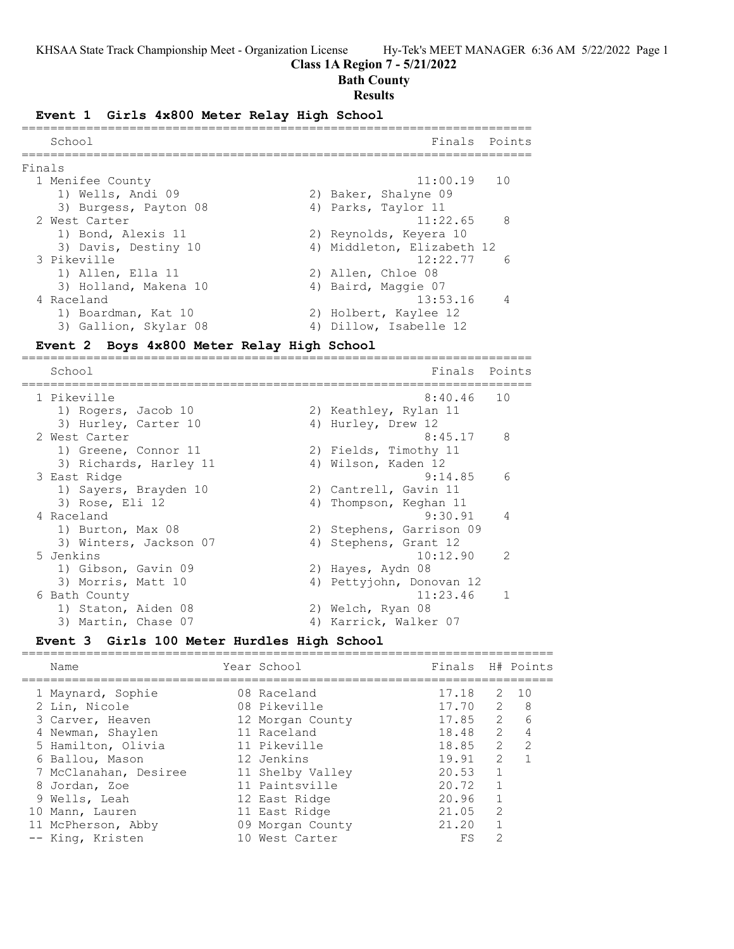## **Class 1A Region 7 - 5/21/2022**

## **Bath County**

#### **Results**

#### **Event 1 Girls 4x800 Meter Relay High School**

| School                |                                                                          |          | Finals Points                                                                                                                                                                                                                                    |
|-----------------------|--------------------------------------------------------------------------|----------|--------------------------------------------------------------------------------------------------------------------------------------------------------------------------------------------------------------------------------------------------|
|                       |                                                                          |          |                                                                                                                                                                                                                                                  |
|                       |                                                                          |          |                                                                                                                                                                                                                                                  |
| 1) Wells, Andi 09     |                                                                          |          |                                                                                                                                                                                                                                                  |
| 3) Burgess, Payton 08 |                                                                          |          |                                                                                                                                                                                                                                                  |
|                       |                                                                          |          |                                                                                                                                                                                                                                                  |
| 1) Bond, Alexis 11    |                                                                          |          |                                                                                                                                                                                                                                                  |
| 3) Davis, Destiny 10  |                                                                          |          |                                                                                                                                                                                                                                                  |
|                       |                                                                          | 12:22.77 | - 6                                                                                                                                                                                                                                              |
| 1) Allen, Ella 11     |                                                                          |          |                                                                                                                                                                                                                                                  |
| 3) Holland, Makena 10 |                                                                          |          |                                                                                                                                                                                                                                                  |
|                       |                                                                          |          |                                                                                                                                                                                                                                                  |
| 1) Boardman, Kat 10   |                                                                          |          |                                                                                                                                                                                                                                                  |
| 3) Gallion, Skylar 08 |                                                                          |          |                                                                                                                                                                                                                                                  |
|                       | Finals<br>1 Menifee County<br>2 West Carter<br>3 Pikeville<br>4 Raceland |          | $11:00.19$ 10<br>2) Baker, Shalyne 09<br>4) Parks, Taylor 11<br>$11:22.65$ 8<br>2) Reynolds, Keyera 10<br>4) Middleton, Elizabeth 12<br>2) Allen, Chloe 08<br>4) Baird, Maggie 07<br>13:53.16<br>2) Holbert, Kaylee 12<br>4) Dillow, Isabelle 12 |

#### **Event 2 Boys 4x800 Meter Relay High School**

======================================================================= Finals Points ======================================================================= 1 Pikeville 8:40.46 10 1) Rogers, Jacob 10 2) Keathley, Rylan 11 3) Hurley, Carter 10 4) Hurley, Drew 12 2 West Carter 8:45.17 8 1) Greene, Connor 11 2) Fields, Timothy 11 3) Richards, Harley 11 (4) Wilson, Kaden 12 3 East Ridge 9:14.85 6 1) Sayers, Brayden 10 2) Cantrell, Gavin 11 3) Rose, Eli 12 4) Thompson, Keghan 11 4 Raceland 9:30.91 4 1) Burton, Max 08 2) Stephens, Garrison 09 3) Winters, Jackson 07 (4) Stephens, Grant 12 5 Jenkins 10:12.90 2 1) Gibson, Gavin 09 2) Hayes, Aydn 08 3) Morris, Matt 10 4) Pettyjohn, Donovan 12 6 Bath County 11:23.46 1 1) Staton, Aiden 08 2) Welch, Ryan 08 3) Martin, Chase 07 4) Karrick, Walker 07

# **Event 3 Girls 100 Meter Hurdles High School**

| Name                               | Year School                 | Finals H# Points |               |               |
|------------------------------------|-----------------------------|------------------|---------------|---------------|
| 1 Maynard, Sophie<br>2 Lin, Nicole | 08 Raceland<br>08 Pikeville | 17.18<br>17.70   | 2<br>2        | 1 O<br>8      |
| 3 Carver, Heaven                   | 12 Morgan County            | 17.85            | $\mathcal{L}$ | 6             |
| 4 Newman, Shaylen                  | 11 Raceland                 | 18.48            | $\mathcal{L}$ | 4             |
| 5 Hamilton, Olivia                 | 11 Pikeville                | 18.85            | $\mathcal{L}$ | $\mathcal{P}$ |
| 6 Ballou, Mason                    | 12 Jenkins                  | 19.91            | $\mathcal{P}$ |               |
| 7 McClanahan, Desiree              | 11 Shelby Valley            | 20.53            |               |               |
| 8 Jordan, Zoe                      | 11 Paintsville              | 20.72            |               |               |
| 9 Wells, Leah                      | 12 East Ridge               | 20.96            |               |               |
| 10 Mann, Lauren                    | 11 East Ridge               | 21.05            | $\mathcal{P}$ |               |
| 11 McPherson, Abby                 | 09 Morgan County            | 21.20            |               |               |
| -- King, Kristen                   | 10 West Carter              | FS               | 2             |               |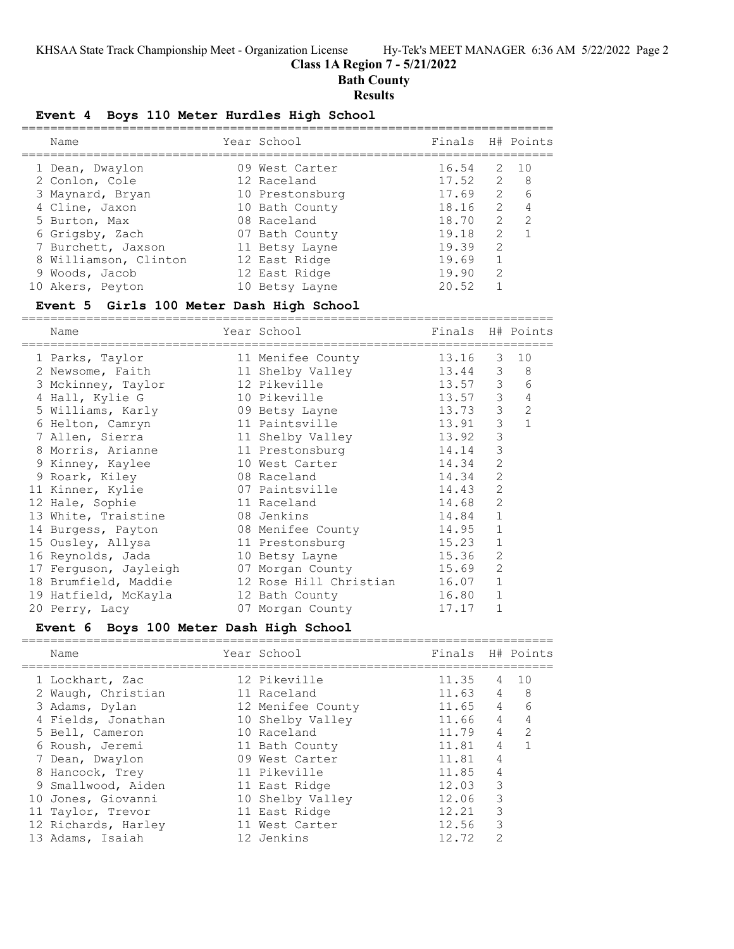# **Class 1A Region 7 - 5/21/2022**

**Bath County**

## **Results**

## **Event 4 Boys 110 Meter Hurdles High School**

| Name                  | Year School     | Finals H# Points |               |     |
|-----------------------|-----------------|------------------|---------------|-----|
| 1 Dean, Dwaylon       | 09 West Carter  | 16.54            | 2             | 10  |
| 2 Conlon, Cole        | 12 Raceland     | 17.52            | 2             | - 8 |
| 3 Maynard, Bryan      | 10 Prestonsburg | 17.69            | $\mathcal{L}$ | 6   |
| 4 Cline, Jaxon        | 10 Bath County  | 18.16            | $\mathcal{P}$ |     |
| 5 Burton, Max         | 08 Raceland     | 18.70            | 2             | 2   |
| 6 Grigsby, Zach       | 07 Bath County  | 19.18            | $\mathcal{L}$ |     |
| 7 Burchett, Jaxson    | 11 Betsy Layne  | 19.39            | $\mathcal{L}$ |     |
| 8 Williamson, Clinton | 12 East Ridge   | 19.69            |               |     |
| 9 Woods, Jacob        | 12 East Ridge   | 19.90            | $\mathcal{L}$ |     |
| 10 Akers, Peyton      | 10 Betsy Layne  | 20.52            |               |     |
|                       |                 |                  |               |     |

#### **Event 5 Girls 100 Meter Dash High School**

========================================================================== Name The Year School The Finals H# Points

| 1 Parks, Taylor       | 11 Menifee County      | 13.16   | 3             | 10             |  |
|-----------------------|------------------------|---------|---------------|----------------|--|
| 2 Newsome, Faith      | 11 Shelby Valley       | 13.44 3 |               | 8              |  |
| 3 Mckinney, Taylor    | 12 Pikeville           | 13.57 3 |               | 6              |  |
| 4 Hall, Kylie G       | 10 Pikeville           | 13.57   | 3             | 4              |  |
| 5 Williams, Karly     | 09 Betsy Layne         | 13.73   | $\mathcal{S}$ | $\overline{2}$ |  |
| 6 Helton, Camryn      | 11 Paintsville         | 13.91   | 3             |                |  |
| 7 Allen, Sierra       | 11 Shelby Valley       | 13.92   | 3             |                |  |
| 8 Morris, Arianne     | 11 Prestonsburg        | 14.14   | 3             |                |  |
| 9 Kinney, Kaylee      | 10 West Carter         | 14.34   | 2             |                |  |
| 9 Roark, Kiley        | 08 Raceland            | 14.34   | 2             |                |  |
| 11 Kinner, Kylie      | 07 Paintsville         | 14.43   | 2             |                |  |
| 12 Hale, Sophie       | 11 Raceland            | 14.68   | 2             |                |  |
| 13 White, Traistine   | 08 Jenkins             | 14.84   | $\mathbf{1}$  |                |  |
| 14 Burgess, Payton    | 08 Menifee County      | 14.95   | $\mathbf{1}$  |                |  |
| 15 Ousley, Allysa     | 11 Prestonsburg        | 15.23   | $\mathbf{1}$  |                |  |
| 16 Reynolds, Jada     | 10 Betsy Layne         | 15.36   | 2             |                |  |
| 17 Ferguson, Jayleigh | 07 Morgan County       | 15.69   | 2             |                |  |
| 18 Brumfield, Maddie  | 12 Rose Hill Christian | 16.07   | $\mathbf{1}$  |                |  |
| 19 Hatfield, McKayla  | 12 Bath County         | 16.80   | $\mathbf{1}$  |                |  |
| 20 Perry, Lacy        | 07 Morgan County       | 17.17   |               |                |  |

#### **Event 6 Boys 100 Meter Dash High School**

| Name                | Year School       | Finals H# Points |                |                 |
|---------------------|-------------------|------------------|----------------|-----------------|
| 1 Lockhart, Zac     | 12 Pikeville      | 11.35            | 4              | 10              |
| 2 Waugh, Christian  | 11 Raceland       | 11.63            | $\overline{4}$ | - 8             |
| 3 Adams, Dylan      | 12 Menifee County | 11.65            | $\overline{4}$ | $6\overline{6}$ |
| 4 Fields, Jonathan  | 10 Shelby Valley  | 11.66            | $\overline{4}$ | 4               |
| 5 Bell, Cameron     | 10 Raceland       | 11.79            | $\overline{4}$ | -2              |
| 6 Roush, Jeremi     | 11 Bath County    | 11.81            | 4              | $\overline{1}$  |
| 7 Dean, Dwaylon     | 09 West Carter    | 11.81            | 4              |                 |
| 8 Hancock, Trey     | 11 Pikeville      | 11.85            | $\overline{4}$ |                 |
| 9 Smallwood, Aiden  | 11 East Ridge     | 12.03            | 3              |                 |
| 10 Jones, Giovanni  | 10 Shelby Valley  | 12.06            | 3              |                 |
| 11 Taylor, Trevor   | 11 East Ridge     | 12.21            | 3              |                 |
| 12 Richards, Harley | 11 West Carter    | 12.56            | 3              |                 |
| 13 Adams, Isaiah    | 12 Jenkins        | 12.72            | $\mathcal{L}$  |                 |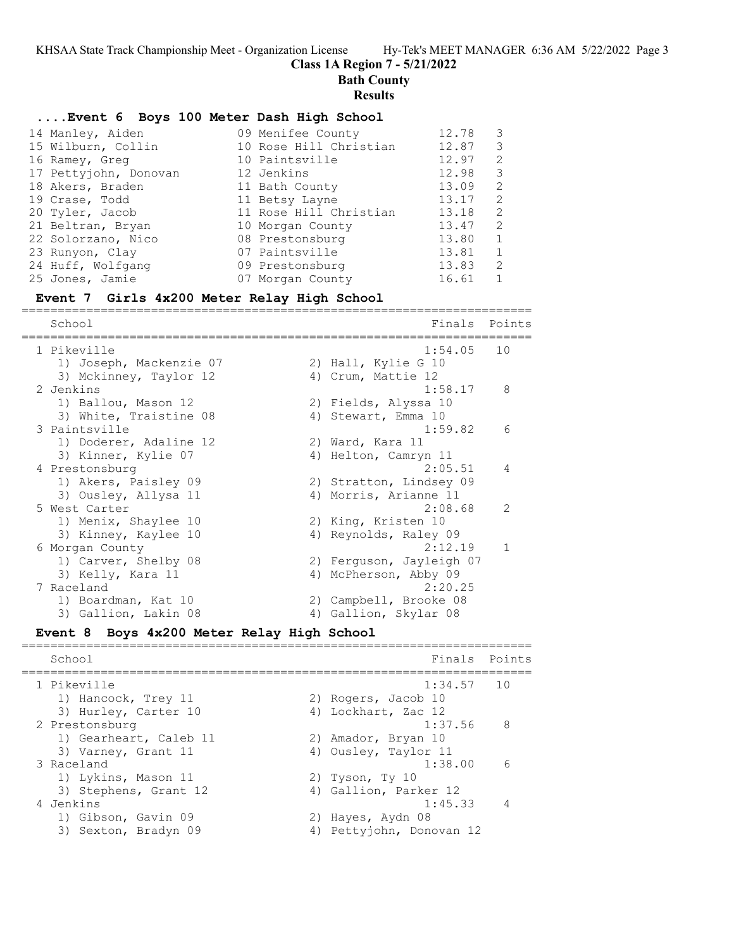#### **Class 1A Region 7 - 5/21/2022**

**Bath County**

#### **Results**

#### **....Event 6 Boys 100 Meter Dash High School**

| 14 Manley, Aiden      | 09 Menifee County      | 12.78 | - 3                        |
|-----------------------|------------------------|-------|----------------------------|
| 15 Wilburn, Collin    | 10 Rose Hill Christian | 12.87 | - 3                        |
| 16 Ramey, Greg        | 10 Paintsville         | 12.97 | $\overline{c}$             |
| 17 Pettyjohn, Donovan | 12 Jenkins             | 12.98 | - 3                        |
| 18 Akers, Braden      | 11 Bath County         | 13.09 | $\overline{c}$             |
| 19 Crase, Todd        | 11 Betsy Layne         | 13.17 | $\overline{2}$             |
| 20 Tyler, Jacob       | 11 Rose Hill Christian | 13.18 | $\overline{\phantom{0}}^2$ |
| 21 Beltran, Bryan     | 10 Morgan County       | 13.47 | -2                         |
| 22 Solorzano, Nico    | 08 Prestonsburg        | 13.80 | 1                          |
| 23 Runyon, Clay       | 07 Paintsville         | 13.81 | 1                          |
| 24 Huff, Wolfgang     | 09 Prestonsburg        | 13.83 | -2                         |
| 25 Jones, Jamie       | 07 Morgan County       | 16.61 | 1                          |

#### **Event 7 Girls 4x200 Meter Relay High School**

======================================================================= Finals Points ======================================================================= 1 Pikeville 1:54.05 10 1) Joseph, Mackenzie 07 2) Hall, Kylie G 10 3) Mckinney, Taylor 12 (4) Crum, Mattie 12 2 Jenkins 1:58.17 8 1) Ballou, Mason 12 2) Fields, Alyssa 10 3) White, Traistine 08 4) Stewart, Emma 10 3 Paintsville 1:59.82 6 1) Doderer, Adaline 12 2) Ward, Kara 11 3) Kinner, Kylie 07 4) Helton, Camryn 11 4 Prestonsburg 2:05.51 4 1) Akers, Paisley 09 2) Stratton, Lindsey 09

 3) Ousley, Allysa 11 4) Morris, Arianne 11 5 West Carter 2:08.68 2 1) Menix, Shaylee 10 2) King, Kristen 10 3) Kinney, Kaylee 10 4) Reynolds, Raley 09 6 Morgan County 2:12.19 1 1) Carver, Shelby 08 2) Ferguson, Jayleigh 07 3) Kelly, Kara 11 4) McPherson, Abby 09 7 Raceland 2:20.25 1) Boardman, Kat 10 2) Campbell, Brooke 08 3) Gallion, Lakin 08 4) Gallion, Skylar 08

#### **Event 8 Boys 4x200 Meter Relay High School**

======================================================================= Finals Points ======================================================================= 1 Pikeville 1:34.57 10 1) Hancock, Trey 11 2) Rogers, Jacob 10 3) Hurley, Carter 10 (4) Lockhart, Zac 12 2 Prestonsburg 1:37.56 8 1) Gearheart, Caleb 11 2) Amador, Bryan 10 3) Varney, Grant 11 4) Ousley, Taylor 11 3 Raceland 1:38.00 6 1) Lykins, Mason 11 2) Tyson, Ty 10 3) Stephens, Grant 12 4) Gallion, Parker 12 4 Jenkins 1:45.33 4 1) Gibson, Gavin 09 2) Hayes, Aydn 08 3) Sexton, Bradyn 09 4) Pettyjohn, Donovan 12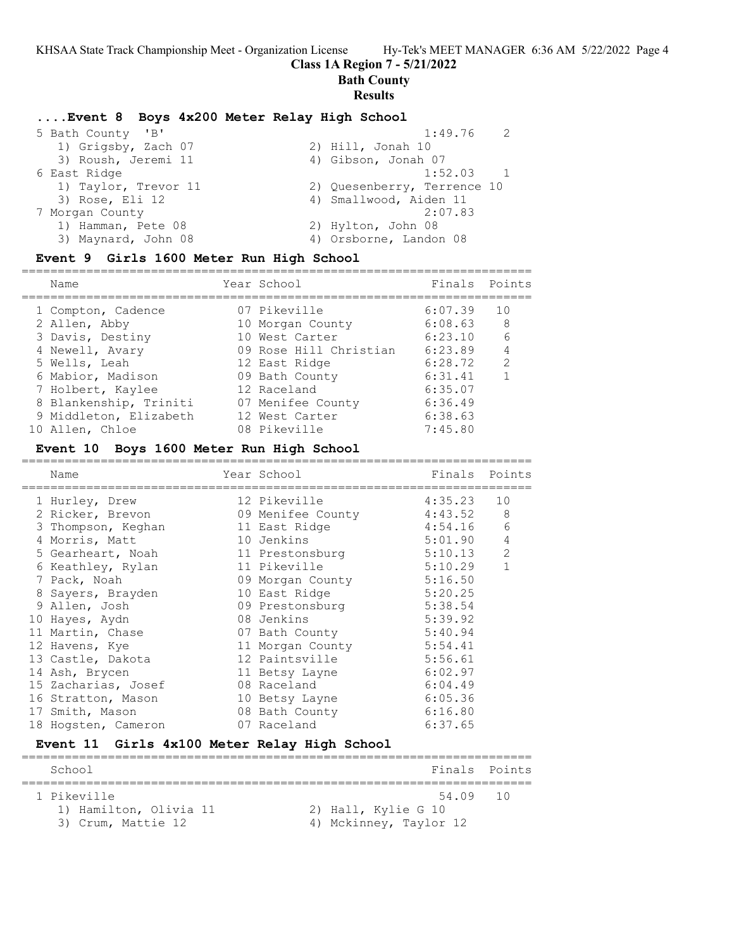**Bath County**

# **Results**

# **....Event 8 Boys 4x200 Meter Relay High School**

| 5 Bath County 'B'    | $\overline{2}$<br>1:49.76   |  |
|----------------------|-----------------------------|--|
| 1) Grigsby, Zach 07  | 2) Hill, Jonah 10           |  |
| 3) Roush, Jeremi 11  | 4) Gibson, Jonah 07         |  |
| 6 East Ridge         | 1:52.03                     |  |
| 1) Taylor, Trevor 11 | 2) Quesenberry, Terrence 10 |  |
| 3) Rose, Eli 12      | 4) Smallwood, Aiden 11      |  |
| 7 Morgan County      | 2:07.83                     |  |
| 1) Hamman, Pete 08   | 2) Hylton, John 08          |  |
| 3) Maynard, John 08  | 4) Orsborne, Landon 08      |  |
|                      |                             |  |

#### **Event 9 Girls 1600 Meter Run High School**

| Name                   | Year School            | Finals Points |                |
|------------------------|------------------------|---------------|----------------|
| 1 Compton, Cadence     | 07 Pikeville           | 6:07.39       | 10             |
| 2 Allen, Abby          | 10 Morgan County       | 6:08.63       | 8 <sup>8</sup> |
| 3 Davis, Destiny       | 10 West Carter         | 6:23.10       | 6              |
| 4 Newell, Avary        | 09 Rose Hill Christian | 6:23.89       | $\overline{4}$ |
| 5 Wells, Leah          | 12 East Ridge          | 6:28.72       | $\mathcal{L}$  |
| 6 Mabior, Madison      | 09 Bath County         | 6:31.41       |                |
| 7 Holbert, Kaylee      | 12 Raceland            | 6:35.07       |                |
| 8 Blankenship, Triniti | 07 Menifee County      | 6:36.49       |                |
| 9 Middleton, Elizabeth | 12 West Carter         | 6:38.63       |                |
| 10 Allen, Chloe        | 08 Pikeville           | 7:45.80       |                |
|                        |                        |               |                |

#### **Event 10 Boys 1600 Meter Run High School**

| Name                | Year School       | Finals Points |                |
|---------------------|-------------------|---------------|----------------|
| 1 Hurley, Drew      | 12 Pikeville      | 4:35.23       | 10             |
| 2 Ricker, Brevon    | 09 Menifee County | 4:43.52       | 8              |
| 3 Thompson, Keghan  | 11 East Ridge     | 4:54.16       | 6              |
| 4 Morris, Matt      | 10 Jenkins        | 5:01.90       | $\overline{4}$ |
| 5 Gearheart, Noah   | 11 Prestonsburg   | 5:10.13       | $\overline{2}$ |
| 6 Keathley, Rylan   | 11 Pikeville      | 5:10.29       |                |
| 7 Pack, Noah        | 09 Morgan County  | 5:16.50       |                |
| 8 Sayers, Brayden   | 10 East Ridge     | 5:20.25       |                |
| 9 Allen, Josh       | 09 Prestonsburg   | 5:38.54       |                |
| 10 Hayes, Aydn      | 08 Jenkins        | 5:39.92       |                |
| 11 Martin, Chase    | 07 Bath County    | 5:40.94       |                |
| 12 Havens, Kye      | 11 Morgan County  | 5:54.41       |                |
| 13 Castle, Dakota   | 12 Paintsville    | 5:56.61       |                |
| 14 Ash, Brycen      | 11 Betsy Layne    | 6:02.97       |                |
| 15 Zacharias, Josef | 08 Raceland       | 6:04.49       |                |
| 16 Stratton, Mason  | 10 Betsy Layne    | 6:05.36       |                |
| 17 Smith, Mason     | 08 Bath County    | 6:16.80       |                |
| 18 Hogsten, Cameron | 07 Raceland       | 6:37.65       |                |
|                     |                   |               |                |

# **Event 11 Girls 4x100 Meter Relay High School**

| School                 | Finals Points          |  |
|------------------------|------------------------|--|
|                        |                        |  |
| 1 Pikeville            | 54.09 10               |  |
| 1) Hamilton, Olivia 11 | 2) Hall, Kylie G 10    |  |
| 3) Crum, Mattie 12     | 4) Mckinney, Taylor 12 |  |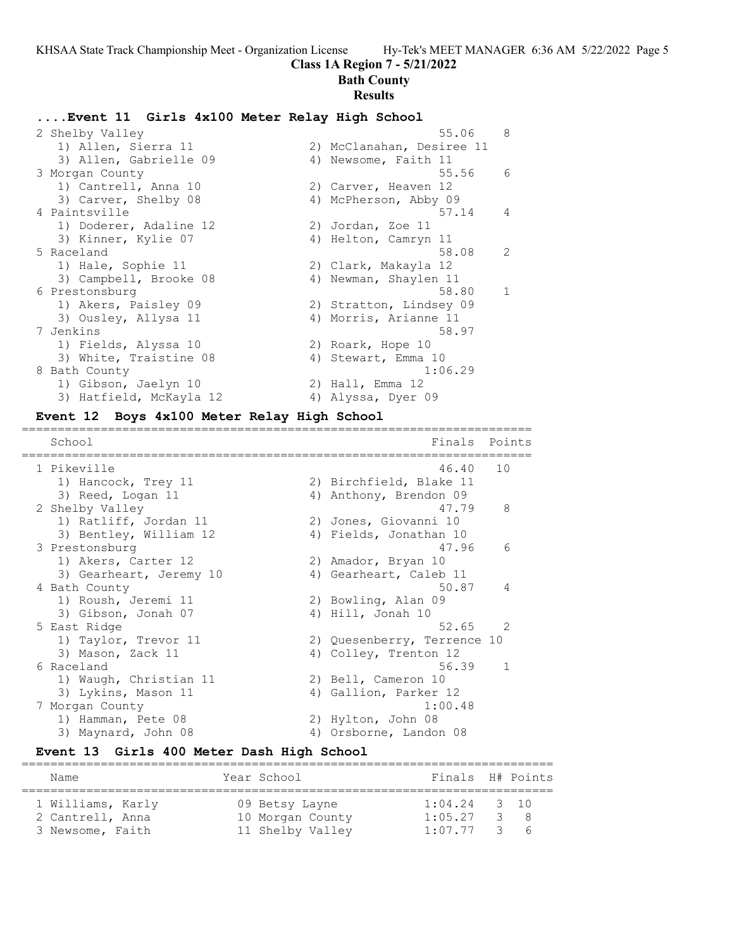#### **Bath County**

#### **Results**

#### **....Event 11 Girls 4x100 Meter Relay High School**

| 2 Shelby Valley         | 55.06                     | 8              |
|-------------------------|---------------------------|----------------|
| 1) Allen, Sierra 11     | 2) McClanahan, Desiree 11 |                |
| 3) Allen, Gabrielle 09  | 4) Newsome, Faith 11      |                |
| 3 Morgan County         | 55.56                     | - 6            |
| 1) Cantrell, Anna 10    | 2) Carver, Heaven 12      |                |
| 3) Carver, Shelby 08    | 4) McPherson, Abby 09     |                |
| 4 Paintsville           | 57.14                     | $\overline{4}$ |
| 1) Doderer, Adaline 12  | 2) Jordan, Zoe 11         |                |
| 3) Kinner, Kylie 07     | 4) Helton, Camryn 11      |                |
| 5 Raceland              | 58.08                     | 2              |
| 1) Hale, Sophie 11      | 2) Clark, Makayla 12      |                |
| 3) Campbell, Brooke 08  | 4) Newman, Shaylen 11     |                |
| 6 Prestonsburg          | 58.80                     | $\overline{1}$ |
| 1) Akers, Paisley 09    | 2) Stratton, Lindsey 09   |                |
| 3) Ousley, Allysa 11    | 4) Morris, Arianne 11     |                |
| 7 Jenkins               | 58.97                     |                |
| 1) Fields, Alyssa 10    | 2) Roark, Hope 10         |                |
| 3) White, Traistine 08  | 4) Stewart, Emma 10       |                |
| 8 Bath County           | 1:06.29                   |                |
| 1) Gibson, Jaelyn 10    | 2) Hall, Emma 12          |                |
| 3) Hatfield, McKayla 12 | 4) Alyssa, Dyer 09        |                |

#### **Event 12 Boys 4x100 Meter Relay High School**

======================================================================= School **Finals Points** ======================================================================= 1 Pikeville 46.40 10 1) Hancock, Trey 11 2) Birchfield, Blake 11 3) Reed, Logan 11 4) Anthony, Brendon 09 2 Shelby Valley 47.79 8 1) Ratliff, Jordan 11 2) Jones, Giovanni 10 3) Bentley, William 12 4) Fields, Jonathan 10 3 Prestonsburg 47.96 6 1) Akers, Carter 12 2) Amador, Bryan 10 3) Gearheart, Jeremy 10 4) Gearheart, Caleb 11 4 Bath County 50.87 4 1) Roush, Jeremi 11 2) Bowling, Alan 09 3) Gibson, Jonah 07 (4) Hill, Jonah 10 5 East Ridge 52.65 2 1) Taylor, Trevor 11 2) Quesenberry, Terrence 10 3) Mason, Zack 11 4) Colley, Trenton 12 6 Raceland 56.39 1 1) Waugh, Christian 11 12) Bell, Cameron 10 3) Lykins, Mason 11 4) Gallion, Parker 12 7 Morgan County 1:00.48 1) Hamman, Pete 08 2) Hylton, John 08 3) Maynard, John 08 4) Orsborne, Landon 08

#### **Event 13 Girls 400 Meter Dash High School**

| Name                                                      | Year School                                            | Finals H# Points                           |     |
|-----------------------------------------------------------|--------------------------------------------------------|--------------------------------------------|-----|
| 1 Williams, Karly<br>2 Cantrell, Anna<br>3 Newsome, Faith | 09 Betsy Layne<br>10 Morgan County<br>11 Shelby Valley | $1:04.24$ 3 10<br>1:05.27<br>$1:07.77$ 3 6 | 3 R |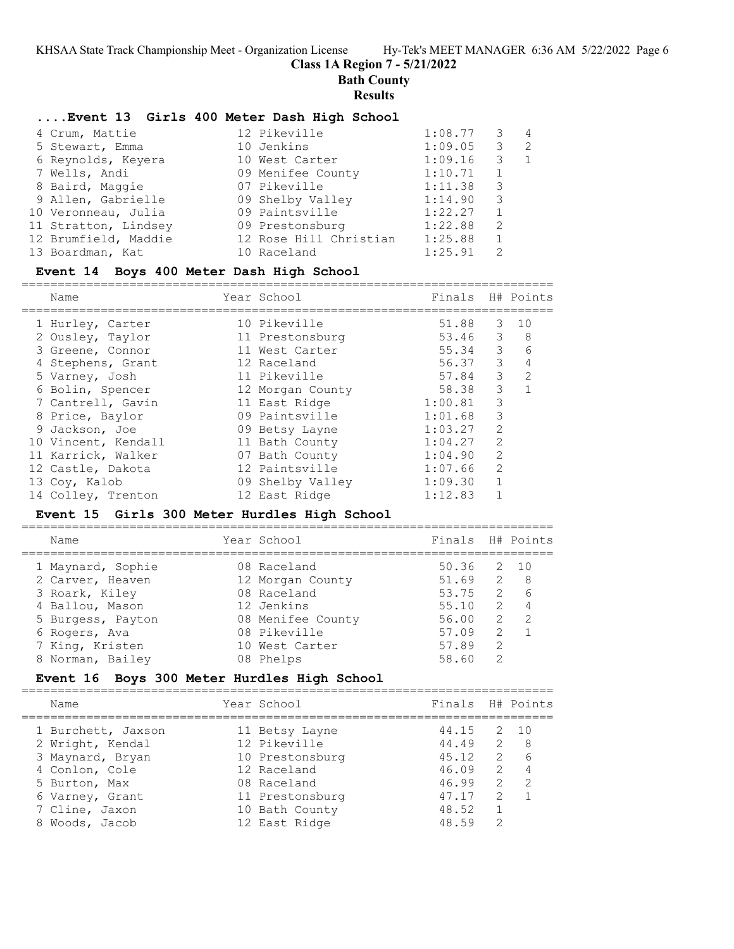**Bath County**

#### **Results**

## **....Event 13 Girls 400 Meter Dash High School**

| 4 Crum, Mattie       | 12 Pikeville           | 1:08.77 | 3             | 4 |
|----------------------|------------------------|---------|---------------|---|
| 5 Stewart, Emma      | 10 Jenkins             | 1:09.05 | 3             | 2 |
| 6 Reynolds, Keyera   | 10 West Carter         | 1:09.16 | 3             | 1 |
| 7 Wells, Andi        | 09 Menifee County      | 1:10.71 | 1             |   |
| 8 Baird, Maggie      | 07 Pikeville           | 1:11.38 | 3             |   |
| 9 Allen, Gabrielle   | 09 Shelby Valley       | 1:14.90 | 3             |   |
| 10 Veronneau, Julia  | 09 Paintsville         | 1:22.27 | 1             |   |
| 11 Stratton, Lindsey | 09 Prestonsburg        | 1:22.88 | 2             |   |
| 12 Brumfield, Maddie | 12 Rose Hill Christian | 1:25.88 | 1             |   |
| 13 Boardman, Kat     | 10 Raceland            | 1:25.91 | $\mathcal{P}$ |   |

#### **Event 14 Boys 400 Meter Dash High School**

==========================================================================

| Name                | Year School      | Finals  |                | H# Points |
|---------------------|------------------|---------|----------------|-----------|
| 1 Hurley, Carter    | 10 Pikeville     | 51.88   | 3              | 10        |
| 2 Ousley, Taylor    | 11 Prestonsburg  | 53.46 3 |                | 8         |
| 3 Greene, Connor    | 11 West Carter   | 55.34   | 3              | 6         |
| 4 Stephens, Grant   | 12 Raceland      | 56.37   | 3              | 4         |
| 5 Varney, Josh      | 11 Pikeville     | 57.84   | 3              | 2         |
| 6 Bolin, Spencer    | 12 Morgan County | 58.38   | 3              |           |
| 7 Cantrell, Gavin   | 11 East Ridge    | 1:00.81 | 3              |           |
| 8 Price, Baylor     | 09 Paintsville   | 1:01.68 | 3              |           |
| 9 Jackson, Joe      | 09 Betsy Layne   | 1:03.27 | $\mathcal{L}$  |           |
| 10 Vincent, Kendall | 11 Bath County   | 1:04.27 | 2              |           |
| 11 Karrick, Walker  | 07 Bath County   | 1:04.90 | $\mathcal{L}$  |           |
| 12 Castle, Dakota   | 12 Paintsville   | 1:07.66 | $\overline{2}$ |           |
| 13 Coy, Kalob       | 09 Shelby Valley | 1:09.30 |                |           |
| 14 Colley, Trenton  | 12 East Ridge    | 1:12.83 |                |           |

## **Event 15 Girls 300 Meter Hurdles High School**

| Name              | Year School       | Finals H# Points |                |                |
|-------------------|-------------------|------------------|----------------|----------------|
| 1 Maynard, Sophie | 08 Raceland       | 50.36            |                | 2 10           |
| 2 Carver, Heaven  | 12 Morgan County  | 51.69            | $\overline{2}$ | - 8            |
| 3 Roark, Kiley    | 08 Raceland       | 53.75            | 2              | 6              |
| 4 Ballou, Mason   | 12 Jenkins        | 55.10            | $\overline{2}$ | $\overline{4}$ |
| 5 Burgess, Payton | 08 Menifee County | 56.00            | $\overline{2}$ | $\overline{2}$ |
| 6 Rogers, Ava     | 08 Pikeville      | 57.09            | $\mathcal{L}$  |                |
| 7 King, Kristen   | 10 West Carter    | 57.89            | $\mathcal{P}$  |                |
| 8 Norman, Bailey  | 08 Phelps         | 58.60            | 2              |                |
|                   |                   |                  |                |                |

# **Event 16 Boys 300 Meter Hurdles High School**

| Name               | Year School     | Finals H# Points |                |                |
|--------------------|-----------------|------------------|----------------|----------------|
| 1 Burchett, Jaxson | 11 Betsy Layne  | 44.15            |                | 2 10           |
| 2 Wright, Kendal   | 12 Pikeville    | 44.49            | $\overline{2}$ | - 8            |
| 3 Maynard, Bryan   | 10 Prestonsburg | 45.12            | $\mathcal{L}$  | 6              |
| 4 Conlon, Cole     | 12 Raceland     | 46.09            | 2              | $\overline{4}$ |
| 5 Burton, Max      | 08 Raceland     | 46.99            | 2              | $\mathcal{P}$  |
| 6 Varney, Grant    | 11 Prestonsburg | 47.17            | $\mathcal{L}$  |                |
| 7 Cline, Jaxon     | 10 Bath County  | 48.52            |                |                |
| 8 Woods, Jacob     | 12 East Ridge   | 48.59            | 2              |                |
|                    |                 |                  |                |                |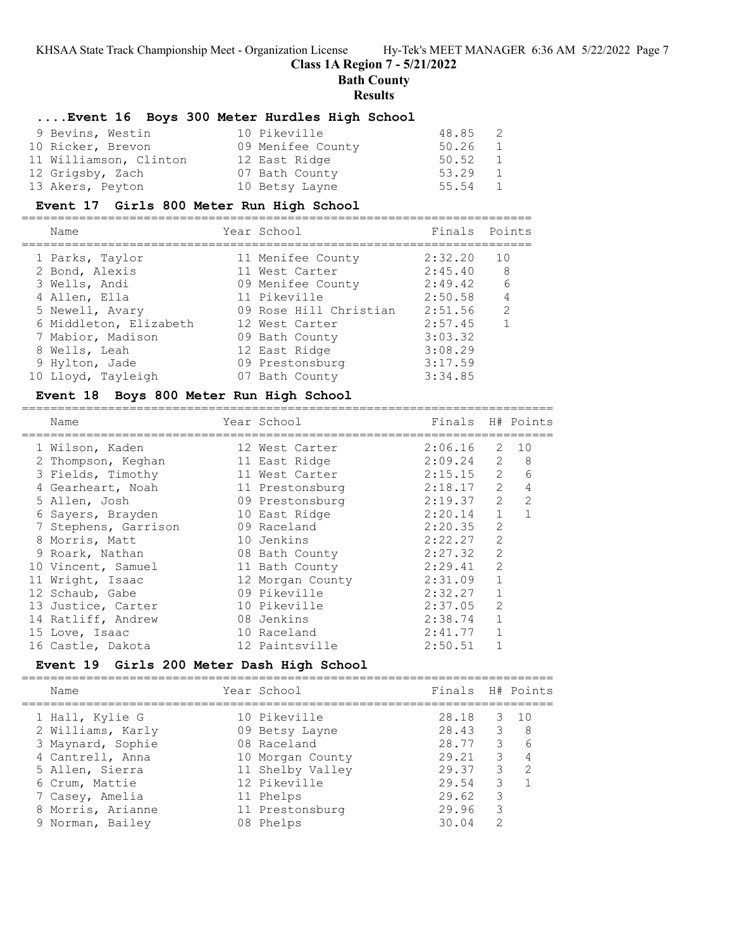#### **Class 1A Region 7 - 5/21/2022**

**Bath County**

#### **Results**

#### **....Event 16 Boys 300 Meter Hurdles High School**

| 9 Bevins, Westin       | 10 Pikeville      | 48.85 2 |   |
|------------------------|-------------------|---------|---|
| 10 Ricker, Brevon      | 09 Menifee County | 50.26 1 |   |
| 11 Williamson, Clinton | 12 East Ridge     | 50.52   | 1 |
| 12 Grigsby, Zach       | 07 Bath County    | 53.29 1 |   |
| 13 Akers, Peyton       | 10 Betsy Layne    | 55.54 1 |   |

#### **Event 17 Girls 800 Meter Run High School**

======================================================================= Name Year School Finals Points ======================================================================= 1 Parks, Taylor 11 Menifee County 2:32.20 10 2 Bond, Alexis 11 West Carter 2:45.40 8 3 Wells, Andi 09 Menifee County 2:49.42 6 4 Allen, Ella 11 Pikeville 2:50.58 4 5 Newell, Avary 09 Rose Hill Christian 2:51.56 2 6 Middleton, Elizabeth 12 West Carter 2:57.45 1 7 Mabior, Madison 09 Bath County 3:03.32 8 Wells, Leah 12 East Ridge 3:08.29 9 Hylton, Jade 09 Prestonsburg 3:17.59 10 Lloyd, Tayleigh 07 Bath County 3:34.85

#### **Event 18 Boys 800 Meter Run High School**

========================================================================== Name Year School ========================================================================== 1 Wilson, Kaden 12 West Carter 2:06.16 2 10 2 Thompson, Keghan 21 East Ridge 2:09.24 2 8 3 Fields, Timothy 11 West Carter 2:15.15 2 6 4 Gearheart, Noah 11 Prestonsburg 2:18.17 2 4 5 Allen, Josh 09 Prestonsburg 2:19.37 2 2 6 Sayers, Brayden 10 East Ridge 2:20.14 1 1 7 Stephens, Garrison 09 Raceland 2:20.35 2 8 Morris, Matt 10 Jenkins 2:22.27 2 9 Roark, Nathan 08 Bath County 2:27.32 2 10 Vincent, Samuel 11 Bath County 2:29.41 2 11 Wright, Isaac 12 Morgan County 2:31.09 1 12 Schaub, Gabe 09 Pikeville 2:32.27 1 13 Justice, Carter 10 Pikeville 2:37.05 2 14 Ratliff, Andrew 08 Jenkins 2:38.74 1 15 Love, Isaac 10 Raceland 2:41.77 1 16 Castle, Dakota 12 Paintsville 2:50.51 1

## **Event 19 Girls 200 Meter Dash High School**

==========================================================================

| 10 Pikeville<br>28.18<br>1 Hall, Kylie G      |                         | $3 \quad 10$  |
|-----------------------------------------------|-------------------------|---------------|
| 2 Williams, Karly<br>28.43<br>09 Betsy Layne  | $\overline{\mathbf{3}}$ | - 8           |
| 28.77<br>3 Maynard, Sophie<br>08 Raceland     | 3                       | 6             |
| 4 Cantrell, Anna<br>29.21<br>10 Morgan County | 3                       | 4             |
| 11 Shelby Valley<br>29.37<br>5 Allen, Sierra  | 3                       | $\mathcal{P}$ |
| 12 Pikeville<br>29.54<br>6 Crum, Mattie       | 3                       |               |
| 29.62<br>7 Casey, Amelia<br>11 Phelps         | 3                       |               |
| 8 Morris, Arianne<br>11 Prestonsburg<br>29.96 | 3                       |               |
| 30.04<br>9 Norman, Bailey<br>08 Phelps        | 2                       |               |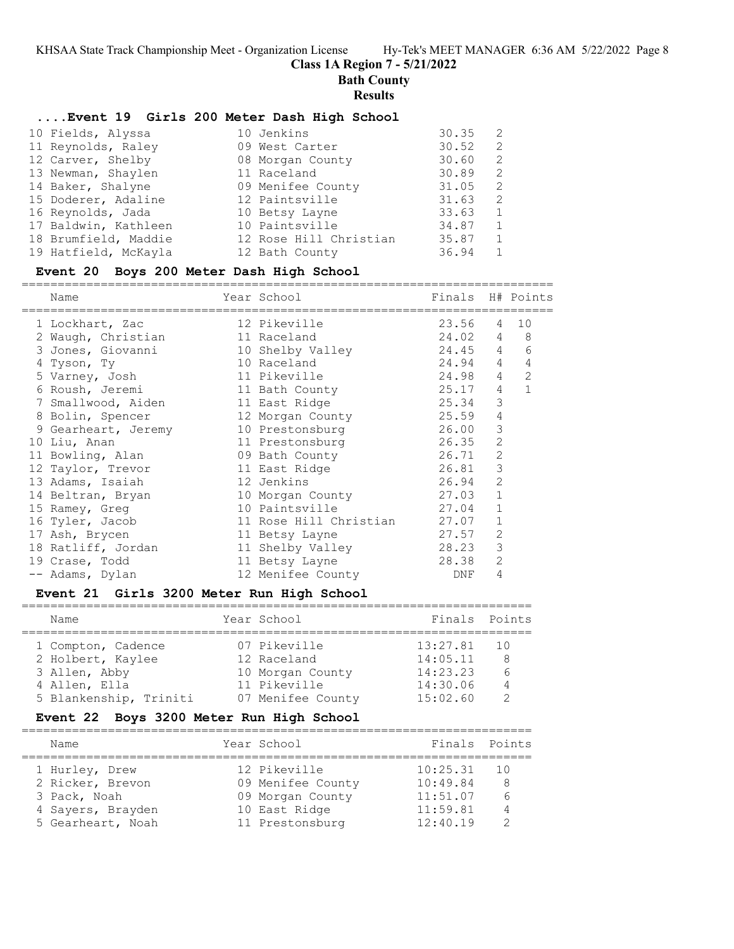**Bath County**

#### **Results**

## **....Event 19 Girls 200 Meter Dash High School**

| 10 Fields, Alyssa    | 10 Jenkins             | 30.35 | 2              |
|----------------------|------------------------|-------|----------------|
| 11 Reynolds, Raley   | 09 West Carter         | 30.52 | 2              |
| 12 Carver, Shelby    | 08 Morgan County       | 30.60 | 2              |
| 13 Newman, Shaylen   | 11 Raceland            | 30.89 | 2              |
| 14 Baker, Shalyne    | 09 Menifee County      | 31.05 | 2              |
| 15 Doderer, Adaline  | 12 Paintsville         | 31.63 | 2              |
| 16 Reynolds, Jada    | 10 Betsy Layne         | 33.63 |                |
| 17 Baldwin, Kathleen | 10 Paintsville         | 34.87 | $\overline{1}$ |
| 18 Brumfield, Maddie | 12 Rose Hill Christian | 35.87 |                |
| 19 Hatfield, McKayla | 12 Bath County         | 36.94 |                |

# **Event 20 Boys 200 Meter Dash High School**

==========================================================================

| Name                | Year School                  | Finals    |                | H# Points      |
|---------------------|------------------------------|-----------|----------------|----------------|
| 1 Lockhart, Zac     | 12 Pikeville                 | 23.56     | $\overline{4}$ | 10             |
| 2 Waugh, Christian  | 11 Raceland                  | 24.02 4 8 |                |                |
| 3 Jones, Giovanni   | 10 Shelby Valley             | 24.45 4   |                | 6              |
| 4 Tyson, Ty         | 10 Raceland                  | 24.94 4   |                | $\overline{4}$ |
| 5 Varney, Josh      | 11 Pikeville                 | 24.98     | $\overline{4}$ | 2              |
| 6 Roush, Jeremi     | 11 Bath County               | 25.17     | 4              | $\mathbf{1}$   |
| 7 Smallwood, Aiden  | 11 East Ridge                | 25.34     | 3              |                |
| 8 Bolin, Spencer    | 12 Morgan County             | 25.59     | 4              |                |
| 9 Gearheart, Jeremy | 10 Prestonsburg              | 26.00     | 3              |                |
| 10 Liu, Anan        | 11 Prestonsburg              | 26.35     | 2              |                |
| 11 Bowling, Alan    | 09 Bath County               | 26.71     | 2              |                |
| 12 Taylor, Trevor   | 11 East Ridge                | 26.81     | 3              |                |
| 13 Adams, Isaiah    | 12 Jenkins                   | 26.94     | 2              |                |
| 14 Beltran, Bryan   | 10 Morgan County             | 27.03     | 1              |                |
| 15 Ramey, Greg      | 10 Paintsville               | 27.04     | 1              |                |
| 16 Tyler, Jacob     | 11 Rose Hill Christian 27.07 |           | $\mathbf{1}$   |                |
| 17 Ash, Brycen      | 11 Betsy Layne               | 27.57     | $\overline{2}$ |                |
| 18 Ratliff, Jordan  | 11 Shelby Valley             | 28.23     | 3              |                |
| 19 Crase, Todd      | 11 Betsy Layne               | 28.38     | $\overline{c}$ |                |
| -- Adams, Dylan     | 12 Menifee County            | DNF       | 4              |                |

# **Event 21 Girls 3200 Meter Run High School**

| Name                   | Year School       | Finals Points |                |
|------------------------|-------------------|---------------|----------------|
| 1 Compton, Cadence     | 07 Pikeville      | 13:27.81      | - 10           |
| 2 Holbert, Kaylee      | 12 Raceland       | 14:05.11      | <sup>8</sup>   |
| 3 Allen, Abby          | 10 Morgan County  | 14:23.23      | $\epsilon$     |
| 4 Allen, Ella          | 11 Pikeville      | 14:30.06      | $\overline{4}$ |
| 5 Blankenship, Triniti | 07 Menifee County | 15:02.60      |                |

## **Event 22 Boys 3200 Meter Run High School**

| Name                             | Year School                           | Finals Points        |                      |
|----------------------------------|---------------------------------------|----------------------|----------------------|
| 1 Hurley, Drew                   | 12 Pikeville                          | 10:25.31             | $\overline{10}$      |
| 2 Ricker, Brevon<br>3 Pack, Noah | 09 Menifee County<br>09 Morgan County | 10:49.84<br>11:51.07 | 8<br>$6\overline{6}$ |
| 4 Sayers, Brayden                | 10 East Ridge                         | 11:59.81             | $\overline{4}$       |
| 5 Gearheart, Noah                | 11 Prestonsburg                       | 12:40.19             |                      |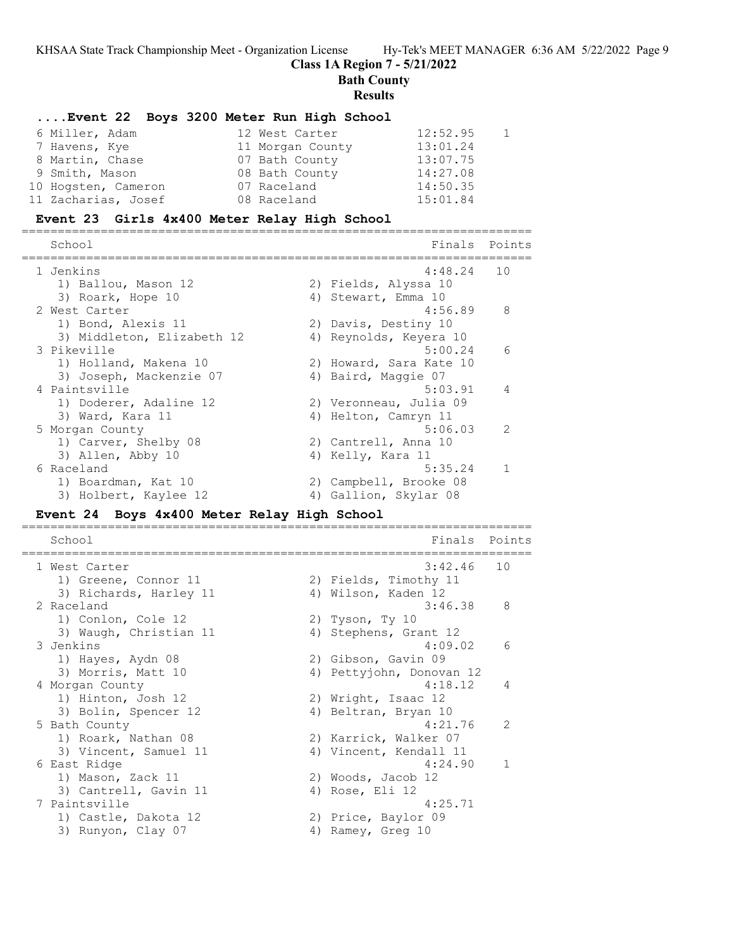**Class 1A Region 7 - 5/21/2022**

**Bath County**

**Results**

#### **....Event 22 Boys 3200 Meter Run High School**

| 6 Miller, Adam      | 12 West Carter   | 12:52.95 | $\overline{1}$ |
|---------------------|------------------|----------|----------------|
| 7 Havens, Kye       | 11 Morgan County | 13:01.24 |                |
| 8 Martin, Chase     | 07 Bath County   | 13:07.75 |                |
| 9 Smith, Mason      | 08 Bath County   | 14:27.08 |                |
| 10 Hogsten, Cameron | 07 Raceland      | 14:50.35 |                |
| 11 Zacharias, Josef | 08 Raceland      | 15:01.84 |                |

#### **Event 23 Girls 4x400 Meter Relay High School**

======================================================================= Finals Points ======================================================================= 1 Jenkins 4:48.24 10 1) Ballou, Mason 12 2) Fields, Alyssa 10 3) Roark, Hope 10 4) Stewart, Emma 10 2 West Carter 2008 12 Mest Carter 2008 12 Mest 2 Mest 2 Mest 2 Mest 2 Mest 2 Mest 2 Mest 2 Mest 2 Mest 2 Mest 2 Mest 2 Mest 2 Mest 2 Mest 2 Mest 2 Mest 2 Mest 2 Mest 2 Mest 2 Mest 2 Mest 2 Mest 2 Mest 2 Mest 2 Mest 2 Mest 1) Bond, Alexis 11 2) Davis, Destiny 10 3) Middleton, Elizabeth 12 4) Reynolds, Keyera 10 3 Pikeville 5:00.24 6 1) Holland, Makena 10 2) Howard, Sara Kate 10 3) Joseph, Mackenzie 07 4) Baird, Maggie 07 4 Paintsville 3:03.91 4 1) Doderer, Adaline 12 2) Veronneau, Julia 09 3) Ward, Kara 11 4) Helton, Camryn 11 5 Morgan County 5:06.03 2 1) Carver, Shelby 08 2) Cantrell, Anna 10 3) Allen, Abby 10 4) Kelly, Kara 11 6 Raceland 5:35.24 1 1) Boardman, Kat 10 2) Campbell, Brooke 08 3) Holbert, Kaylee 12  $\hskip 1.5 cm 4$ ) Gallion, Skylar 08

#### **Event 24 Boys 4x400 Meter Relay High School**

======================================================================= School **Finals** Points ======================================================================= 1 West Carter 3:42.46 10 1) Greene, Connor 11 2) Fields, Timothy 11 3) Richards, Harley 11 (4) Wilson, Kaden 12 2 Raceland 3:46.38 8 1) Conlon, Cole 12 2) Tyson, Ty 10 3) Waugh, Christian 11 4) Stephens, Grant 12 3 Jenkins 4:09.02 6 1) Hayes, Aydn 08 2) Gibson, Gavin 09 3) Morris, Matt 10 4) Pettyjohn, Donovan 12 4 Morgan County 4:18.12 4 1) Hinton, Josh 12 2) Wright, Isaac 12 3) Bolin, Spencer 12 (4) Beltran, Bryan 10 5 Bath County 4:21.76 2 1) Roark, Nathan 08 2) Karrick, Walker 07 3) Vincent, Samuel 11 4) Vincent, Kendall 11 6 East Ridge 4:24.90 1 1) Mason, Zack 11 2) Woods, Jacob 12 3) Cantrell, Gavin 11 (4) Rose, Eli 12 7 Paintsville 4:25.71 1) Castle, Dakota 12 (2) Price, Baylor 09 3) Runyon, Clay 07 (4) Ramey, Greg 10